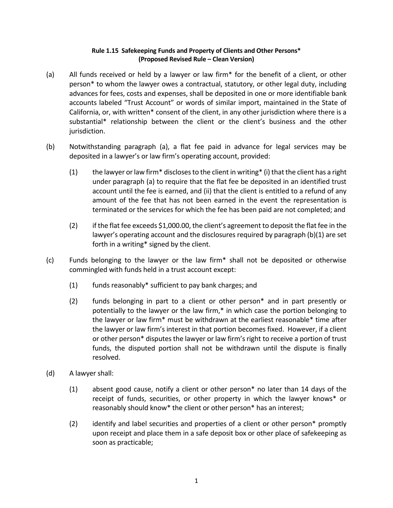### **Rule 1.15 Safekeeping Funds and Property of Clients and Other Persons\* (Proposed Revised Rule – Clean Version)**

- (a) All funds received or held by a lawyer or law firm\* for the benefit of a client, or other person\* to whom the lawyer owes a contractual, statutory, or other legal duty, including advances for fees, costs and expenses, shall be deposited in one or more identifiable bank accounts labeled "Trust Account" or words of similar import, maintained in the State of California, or, with written\* consent of the client, in any other jurisdiction where there is a substantial\* relationship between the client or the client's business and the other jurisdiction.
- (b) Notwithstanding paragraph (a), a flat fee paid in advance for legal services may be deposited in a lawyer's or law firm's operating account, provided:
	- (1) the lawyer or law firm\* discloses to the client in writing\* (i) that the client has a right under paragraph (a) to require that the flat fee be deposited in an identified trust account until the fee is earned, and (ii) that the client is entitled to a refund of any amount of the fee that has not been earned in the event the representation is terminated or the services for which the fee has been paid are not completed; and
	- (2) if the flat fee exceeds \$1,000.00, the client's agreement to deposit the flat fee in the lawyer's operating account and the disclosures required by paragraph (b)(1) are set forth in a writing\* signed by the client.
- (c) Funds belonging to the lawyer or the law firm\* shall not be deposited or otherwise commingled with funds held in a trust account except:
	- (1) funds reasonably\* sufficient to pay bank charges; and
	- (2) funds belonging in part to a client or other person\* and in part presently or potentially to the lawyer or the law firm,\* in which case the portion belonging to the lawyer or law firm\* must be withdrawn at the earliest reasonable\* time after the lawyer or law firm's interest in that portion becomes fixed. However, if a client or other person\* disputes the lawyer or law firm's right to receive a portion of trust funds, the disputed portion shall not be withdrawn until the dispute is finally resolved.
- (d) A lawyer shall:
	- (1) absent good cause, notify a client or other person\* no later than 14 days of the receipt of funds, securities, or other property in which the lawyer knows\* or reasonably should know\* the client or other person\* has an interest;
	- (2) identify and label securities and properties of a client or other person\* promptly upon receipt and place them in a safe deposit box or other place of safekeeping as soon as practicable;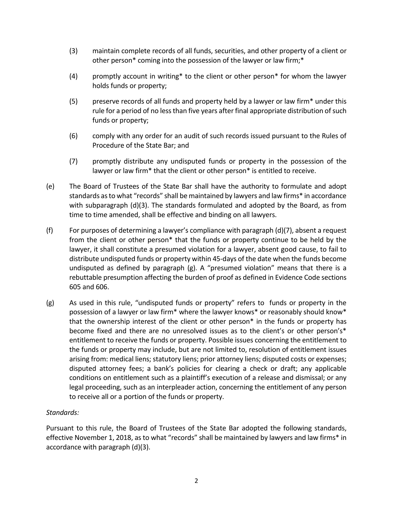- (3) maintain complete records of all funds, securities, and other property of a client or other person\* coming into the possession of the lawyer or law firm;\*
- (4) promptly account in writing\* to the client or other person\* for whom the lawyer holds funds or property;
- (5) preserve records of all funds and property held by a lawyer or law firm\* under this rule for a period of no less than five years after final appropriate distribution of such funds or property;
- (6) comply with any order for an audit of such records issued pursuant to the Rules of Procedure of the State Bar; and
- (7) promptly distribute any undisputed funds or property in the possession of the lawyer or law firm<sup>\*</sup> that the client or other person<sup>\*</sup> is entitled to receive.
- (e) The Board of Trustees of the State Bar shall have the authority to formulate and adopt standards as to what "records" shall be maintained by lawyers and law firms\* in accordance with subparagraph (d)(3). The standards formulated and adopted by the Board, as from time to time amended, shall be effective and binding on all lawyers.
- (f) For purposes of determining a lawyer's compliance with paragraph (d)(7), absent a request from the client or other person\* that the funds or property continue to be held by the lawyer, it shall constitute a presumed violation for a lawyer, absent good cause, to fail to distribute undisputed funds or property within 45-days of the date when the funds become undisputed as defined by paragraph (g). A "presumed violation" means that there is a rebuttable presumption affecting the burden of proof as defined in Evidence Code sections 605 and 606.
- (g) As used in this rule, "undisputed funds or property" refers to funds or property in the possession of a lawyer or law firm\* where the lawyer knows\* or reasonably should know\* that the ownership interest of the client or other person\* in the funds or property has become fixed and there are no unresolved issues as to the client's or other person's\* entitlement to receive the funds or property. Possible issues concerning the entitlement to the funds or property may include, but are not limited to, resolution of entitlement issues arising from: medical liens; statutory liens; prior attorney liens; disputed costs or expenses; disputed attorney fees; a bank's policies for clearing a check or draft; any applicable conditions on entitlement such as a plaintiff's execution of a release and dismissal; or any legal proceeding, such as an interpleader action, concerning the entitlement of any person to receive all or a portion of the funds or property.

# *Standards:*

Pursuant to this rule, the Board of Trustees of the State Bar adopted the following standards, effective November 1, 2018, as to what "records" shall be maintained by lawyers and law firms\* in accordance with paragraph (d)(3).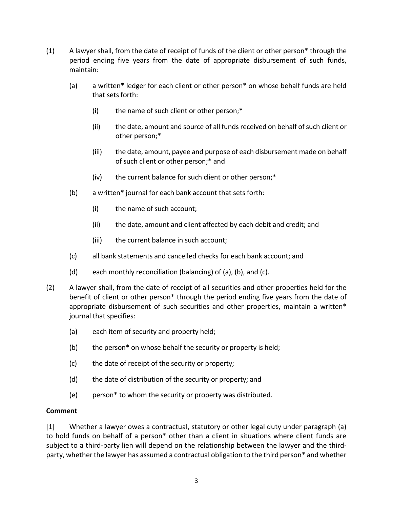- (1) A lawyer shall, from the date of receipt of funds of the client or other person\* through the period ending five years from the date of appropriate disbursement of such funds, maintain:
	- (a) a written\* ledger for each client or other person\* on whose behalf funds are held that sets forth:
		- (i) the name of such client or other person;\*
		- (ii) the date, amount and source of all funds received on behalf of such client or other person;\*
		- (iii) the date, amount, payee and purpose of each disbursement made on behalf of such client or other person;\* and
		- (iv) the current balance for such client or other person;\*
	- (b) a written\* journal for each bank account that sets forth:
		- (i) the name of such account;
		- (ii) the date, amount and client affected by each debit and credit; and
		- (iii) the current balance in such account;
	- (c) all bank statements and cancelled checks for each bank account; and
	- (d) each monthly reconciliation (balancing) of (a), (b), and (c).
- (2) A lawyer shall, from the date of receipt of all securities and other properties held for the benefit of client or other person\* through the period ending five years from the date of appropriate disbursement of such securities and other properties, maintain a written\* journal that specifies:
	- (a) each item of security and property held;
	- (b) the person\* on whose behalf the security or property is held;
	- (c) the date of receipt of the security or property;
	- (d) the date of distribution of the security or property; and
	- (e) person\* to whom the security or property was distributed.

# **Comment**

[1] Whether a lawyer owes a contractual, statutory or other legal duty under paragraph (a) to hold funds on behalf of a person\* other than a client in situations where client funds are subject to a third-party lien will depend on the relationship between the lawyer and the thirdparty, whether the lawyer has assumed a contractual obligation to the third person\* and whether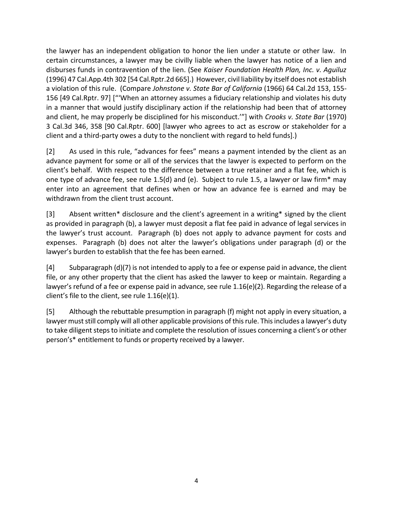the lawyer has an independent obligation to honor the lien under a statute or other law. In certain circumstances, a lawyer may be civilly liable when the lawyer has notice of a lien and disburses funds in contravention of the lien. (See *Kaiser Foundation Health Plan, Inc. v. Aguiluz* (1996) 47 Cal.App.4th 302 [54 Cal.Rptr.2d 665].) However, civil liability by itself does not establish a violation of this rule. (Compare *Johnstone v. State Bar of California* (1966) 64 Cal.2d 153, 155- 156 [49 Cal.Rptr. 97] ["'When an attorney assumes a fiduciary relationship and violates his duty in a manner that would justify disciplinary action if the relationship had been that of attorney and client, he may properly be disciplined for his misconduct.'"] with *Crooks v. State Bar* (1970) 3 Cal.3d 346, 358 [90 Cal.Rptr. 600] [lawyer who agrees to act as escrow or stakeholder for a client and a third-party owes a duty to the nonclient with regard to held funds].)

[2] As used in this rule, "advances for fees" means a payment intended by the client as an advance payment for some or all of the services that the lawyer is expected to perform on the client's behalf. With respect to the difference between a true retainer and a flat fee, which is one type of advance fee, see rule 1.5(d) and (e). Subject to rule 1.5, a lawyer or law firm\* may enter into an agreement that defines when or how an advance fee is earned and may be withdrawn from the client trust account.

[3] Absent written\* disclosure and the client's agreement in a writing\* signed by the client as provided in paragraph (b), a lawyer must deposit a flat fee paid in advance of legal services in the lawyer's trust account. Paragraph (b) does not apply to advance payment for costs and expenses. Paragraph (b) does not alter the lawyer's obligations under paragraph (d) or the lawyer's burden to establish that the fee has been earned.

[4] Subparagraph (d)(7) is not intended to apply to a fee or expense paid in advance, the client file, or any other property that the client has asked the lawyer to keep or maintain. Regarding a lawyer's refund of a fee or expense paid in advance, see rule 1.16(e)(2). Regarding the release of a client's file to the client, see rule 1.16(e)(1).

[5] Although the rebuttable presumption in paragraph (f) might not apply in every situation, a lawyer must still comply will all other applicable provisions of this rule. This includes a lawyer's duty to take diligent steps to initiate and complete the resolution of issues concerning a client's or other person's\* entitlement to funds or property received by a lawyer.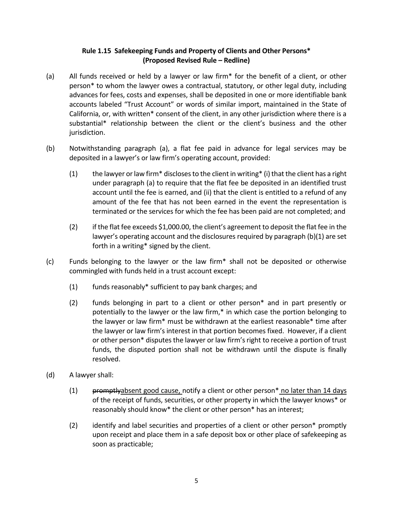# **Rule 1.15 Safekeeping Funds and Property of Clients and Other Persons\* (Proposed Revised Rule – Redline)**

- (a) All funds received or held by a lawyer or law firm\* for the benefit of a client, or other person\* to whom the lawyer owes a contractual, statutory, or other legal duty, including advances for fees, costs and expenses, shall be deposited in one or more identifiable bank accounts labeled "Trust Account" or words of similar import, maintained in the State of California, or, with written\* consent of the client, in any other jurisdiction where there is a substantial\* relationship between the client or the client's business and the other jurisdiction.
- (b) Notwithstanding paragraph (a), a flat fee paid in advance for legal services may be deposited in a lawyer's or law firm's operating account, provided:
	- (1) the lawyer or law firm\* discloses to the client in writing\* (i) that the client has a right under paragraph (a) to require that the flat fee be deposited in an identified trust account until the fee is earned, and (ii) that the client is entitled to a refund of any amount of the fee that has not been earned in the event the representation is terminated or the services for which the fee has been paid are not completed; and
	- (2) if the flat fee exceeds \$1,000.00, the client's agreement to deposit the flat fee in the lawyer's operating account and the disclosures required by paragraph (b)(1) are set forth in a writing\* signed by the client.
- (c) Funds belonging to the lawyer or the law firm\* shall not be deposited or otherwise commingled with funds held in a trust account except:
	- (1) funds reasonably\* sufficient to pay bank charges; and
	- (2) funds belonging in part to a client or other person\* and in part presently or potentially to the lawyer or the law firm,\* in which case the portion belonging to the lawyer or law firm\* must be withdrawn at the earliest reasonable\* time after the lawyer or law firm's interest in that portion becomes fixed. However, if a client or other person\* disputes the lawyer or law firm's right to receive a portion of trust funds, the disputed portion shall not be withdrawn until the dispute is finally resolved.
- (d) A lawyer shall:
	- (1) promptly absent good cause, notify a client or other person\* no later than 14 days of the receipt of funds, securities, or other property in which the lawyer knows\* or reasonably should know\* the client or other person\* has an interest;
	- (2) identify and label securities and properties of a client or other person\* promptly upon receipt and place them in a safe deposit box or other place of safekeeping as soon as practicable;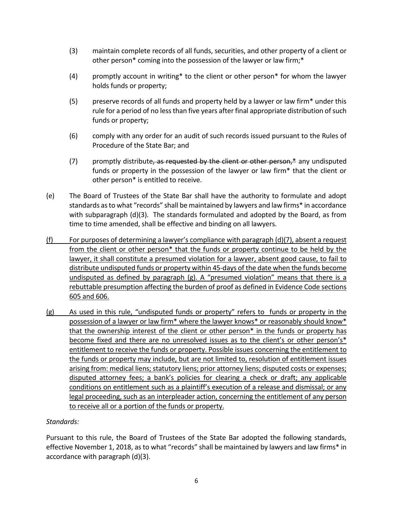- (3) maintain complete records of all funds, securities, and other property of a client or other person\* coming into the possession of the lawyer or law firm;\*
- (4) promptly account in writing\* to the client or other person\* for whom the lawyer holds funds or property;
- (5) preserve records of all funds and property held by a lawyer or law firm\* under this rule for a period of no less than five years after final appropriate distribution of such funds or property;
- (6) comply with any order for an audit of such records issued pursuant to the Rules of Procedure of the State Bar; and
- $(7)$  promptly distribute, as requested by the client or other person, $*$  any undisputed funds or property in the possession of the lawyer or law firm\* that the client or other person\* is entitled to receive.
- (e) The Board of Trustees of the State Bar shall have the authority to formulate and adopt standards as to what "records" shall be maintained by lawyers and law firms\* in accordance with subparagraph (d)(3). The standards formulated and adopted by the Board, as from time to time amended, shall be effective and binding on all lawyers.
- (f) For purposes of determining a lawyer's compliance with paragraph (d)(7), absent a request from the client or other person\* that the funds or property continue to be held by the lawyer, it shall constitute a presumed violation for a lawyer, absent good cause, to fail to distribute undisputed funds or property within 45-days of the date when the funds become undisputed as defined by paragraph (g). A "presumed violation" means that there is a rebuttable presumption affecting the burden of proof as defined in Evidence Code sections 605 and 606.
- (g) As used in this rule, "undisputed funds or property" refers to funds or property in the possession of a lawyer or law firm\* where the lawyer knows\* or reasonably should know\* that the ownership interest of the client or other person\* in the funds or property has become fixed and there are no unresolved issues as to the client's or other person's\* entitlement to receive the funds or property. Possible issues concerning the entitlement to the funds or property may include, but are not limited to, resolution of entitlement issues arising from: medical liens; statutory liens; prior attorney liens; disputed costs or expenses; disputed attorney fees; a bank's policies for clearing a check or draft; any applicable conditions on entitlement such as a plaintiff's execution of a release and dismissal; or any legal proceeding, such as an interpleader action, concerning the entitlement of any person to receive all or a portion of the funds or property.

# *Standards:*

Pursuant to this rule, the Board of Trustees of the State Bar adopted the following standards, effective November 1, 2018, as to what "records" shall be maintained by lawyers and law firms\* in accordance with paragraph (d)(3).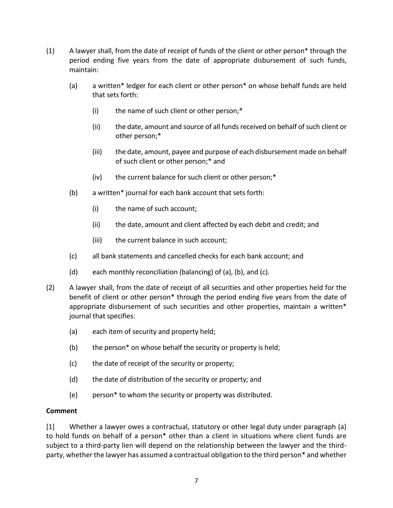- (1) A lawyer shall, from the date of receipt of funds of the client or other person\* through the period ending five years from the date of appropriate disbursement of such funds, maintain:
	- (a) a written\* ledger for each client or other person\* on whose behalf funds are held that sets forth:
		- (i) the name of such client or other person;\*
		- (ii) the date, amount and source of all funds received on behalf of such client or other person;\*
		- (iii) the date, amount, payee and purpose of each disbursement made on behalf of such client or other person;\* and
		- (iv) the current balance for such client or other person;\*
	- (b) a written\* journal for each bank account that sets forth:
		- (i) the name of such account;
		- (ii) the date, amount and client affected by each debit and credit; and
		- (iii) the current balance in such account;
	- (c) all bank statements and cancelled checks for each bank account; and
	- (d) each monthly reconciliation (balancing) of (a), (b), and (c).
- (2) A lawyer shall, from the date of receipt of all securities and other properties held for the benefit of client or other person\* through the period ending five years from the date of appropriate disbursement of such securities and other properties, maintain a written\* journal that specifies:
	- (a) each item of security and property held;
	- (b) the person\* on whose behalf the security or property is held;
	- (c) the date of receipt of the security or property;
	- (d) the date of distribution of the security or property; and
	- (e) person\* to whom the security or property was distributed.

# **Comment**

[1] Whether a lawyer owes a contractual, statutory or other legal duty under paragraph (a) to hold funds on behalf of a person\* other than a client in situations where client funds are subject to a third-party lien will depend on the relationship between the lawyer and the thirdparty, whether the lawyer has assumed a contractual obligation to the third person\* and whether